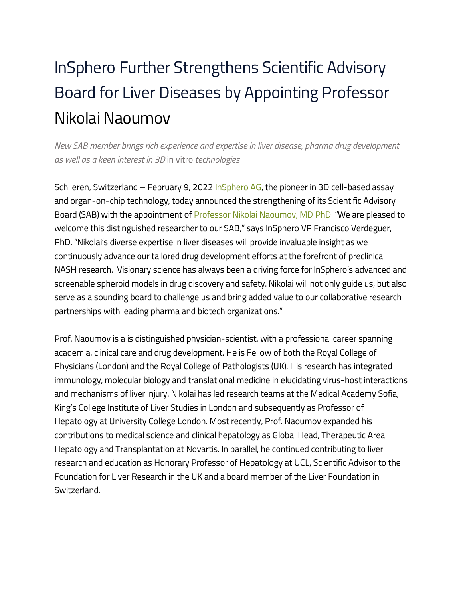## InSphero Further Strengthens Scientific Advisory Board for Liver Diseases by Appointing Professor Nikolai Naoumov

*New SAB member brings rich experience and expertise in liver disease, pharma drug development as well as a keen interest in 3D* in vitro *technologies*

Schlieren, Switzerland – February 9, 2022 [InSphero](https://www.insphero.com/)  $AG$ , the pioneer in 3D cell-based assay and organ-on-chip technology, today announced the strengthening of its Scientific Advisory Board (SAB) with the appointment of **Professor Nikolai Naoumov, MD PhD**. "We are pleased to welcome this distinguished researcher to our SAB," says InSphero VP Francisco Verdeguer, PhD. "Nikolai's diverse expertise in liver diseases will provide invaluable insight as we continuously advance our tailored drug development efforts at the forefront of preclinical NASH research. Visionary science has always been a driving force for InSphero's advanced and screenable spheroid models in drug discovery and safety. Nikolai will not only guide us, but also serve as a sounding board to challenge us and bring added value to our collaborative research partnerships with leading pharma and biotech organizations."

Prof. Naoumov is a is distinguished physician-scientist, with a professional career spanning academia, clinical care and drug development. He is Fellow of both the Royal College of Physicians (London) and the Royal College of Pathologists (UK). His research has integrated immunology, molecular biology and translational medicine in elucidating virus-host interactions and mechanisms of liver injury. Nikolai has led research teams at the Medical Academy Sofia, King's College Institute of Liver Studies in London and subsequently as Professor of Hepatology at University College London. Most recently, Prof. Naoumov expanded his contributions to medical science and clinical hepatology as Global Head, Therapeutic Area Hepatology and Transplantation at Novartis. In parallel, he continued contributing to liver research and education as Honorary Professor of Hepatology at UCL, Scientific Advisor to the Foundation for Liver Research in the UK and a board member of the Liver Foundation in Switzerland.